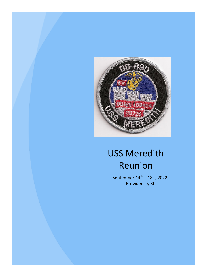

# USS Meredith Reunion

September  $14^{\text{th}} - 18^{\text{th}}$ , 2022 Providence, RI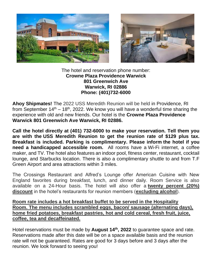



#### The hotel and reservation phone number: **Crowne Plaza Providence Warwick 801 Greenwich Ave Warwick, RI 02886 Phone: (401)732-6000**

**Ahoy Shipmates!** The 2022 USS Meredith Reunion will be held in Providence, RI from September  $14<sup>th</sup> - 18<sup>th</sup>$ , 2022. We know you will have a wonderful time sharing the experience with old and new friends. Our hotel is the **Crowne Plaza Providence Warwick 801 Greenwich Ave Warwick, RI 02886.**

**Call the hotel directly at (401) 732-6000 to make your reservation. Tell them you are with the USS Meredith Reunion to get the reunion rate of \$129 plus tax. Breakfast is included. Parking is complimentary. Please inform the hotel if you need a handicapped accessible room.** All rooms have a Wi-Fi internet, a coffee maker, and TV. The hotel also features an indoor pool, fitness center, restaurant, cocktail lounge, and Starbucks location. There is also a complimentary shuttle to and from T.F Green Airport and area attractions within 3 miles.

The Crossings Restaurant and Alfred's Lounge offer American Cuisine with New England favorites during breakfast, lunch, and dinner daily. Room Service is also available on a 24-Hour basis. The hotel will also offer a **twenty percent (20%) discount** in the hotel's restaurants for reunion members (**excluding alcohol**).

**Room rate includes a hot breakfast buffet to be served in the Hospitality Room. The menu includes scrambled eggs, bacon/ sausage (alternating days), home fried potatoes, breakfast pastries, hot and cold cereal, fresh fruit, juice, coffee, tea and decaffeinated.**

Hotel reservations must be made by **August 14th, 2022** to guarantee space and rate. Reservations made after this date will be on a space available basis and the reunion rate will not be guaranteed. Rates are good for 3 days before and 3 days after the reunion. We look forward to seeing you!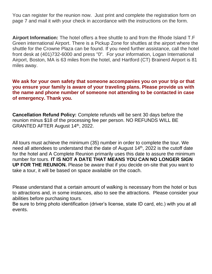You can register for the reunion now. Just print and complete the registration form on page 7 and mail it with your check in accordance with the instructions on the form.

**Airport Information:** The hotel offers a free shuttle to and from the Rhode Island T.F Green international Airport. There is a Pickup Zone for shuttles at the airport where the shuttle for the Crowne Plaza can be found. If you need further assistance, call the hotel front desk at (401)732-6000 and press "0". For your information, Logan International Airport, Boston, MA is 63 miles from the hotel, and Hartford (CT) Brainerd Airport is 81 miles away.

**We ask for your own safety that someone accompanies you on your trip or that you ensure your family is aware of your traveling plans. Please provide us with the name and phone number of someone not attending to be contacted in case of emergency. Thank you.**

**Cancellation Refund Policy:** Complete refunds will be sent 30 days before the reunion minus \$18 of the processing fee per person. NO REFUNDS WILL BE GRANTED AFTER August 14th, 2022.

All tours must achieve the minimum (35) number in order to complete the tour. We need all attendees to understand that the date of August 14<sup>th</sup>, 2022 is the cutoff date for the hotel and A Complete Reunion primarily uses this date to assure the minimum number for tours. **IT IS NOT A DATE THAT MEANS YOU CAN NO LONGER SIGN UP FOR THE REUNION.** Please be aware that if you decide on-site that you want to take a tour, it will be based on space available on the coach.

Please understand that a certain amount of walking is necessary from the hotel or bus to attractions and, in some instances, also to see the attractions. Please consider your abilities before purchasing tours.

Be sure to bring photo identification (driver's license, state ID card, etc.) with you at all events.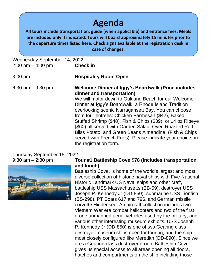## **Agenda**

**All tours include transportation, guide (when applicable) and entrance fees. Meals are included only if indicated. Tours will board approximately 15 minutes prior to the departure times listed here. Check signs available at the registration desk in case of changes.**

| Wednesday September 14, 2022<br>$2:00 \text{ pm} - 4:00 \text{ pm}$ | <b>Check in</b>                                                                                                                                                                                                                                                                                                                                                                                                                                                                                                                                                                      |
|---------------------------------------------------------------------|--------------------------------------------------------------------------------------------------------------------------------------------------------------------------------------------------------------------------------------------------------------------------------------------------------------------------------------------------------------------------------------------------------------------------------------------------------------------------------------------------------------------------------------------------------------------------------------|
| $3:00$ pm                                                           | <b>Hospitality Room Open</b>                                                                                                                                                                                                                                                                                                                                                                                                                                                                                                                                                         |
| $6:30 \text{ pm} - 9:30 \text{ pm}$                                 | Welcome Dinner at Iggy's Boardwalk (Price includes<br>dinner and transportation)<br>We will motor down to Oakland Beach for our Welcome<br>Dinner at Iggy's Boardwalk, a Rhode Island Tradition<br>overlooking scenic Narragansett Bay. You can choose<br>from four entrees: Chicken Parmesan (\$42), Baked<br>Stuffed Shrimp (\$48), Fish & Chips (\$39), or 14 oz Ribeye<br>(\$60) all served with Garden Salad; Oven Roasted Red<br>Bliss Potato; and Green Beans Almandine, (Fish & Chips<br>served with French Fries). Please indicate your choice on<br>the registration form. |

#### Thursday September 15, 2022



#### 9:30 am – 2:30 pm **Tour #1 Battleship Cove \$78 (Includes transportation and lunch)**

Battleship Cove, is home of the world's largest and most diverse collection of historic naval ships with Five National Historic Landmark US Naval ships and other craft, battleship USS Massachusetts (BB-59), destroyer USS Joseph P. Kennedy Jr (DD-850), submarine USS Lionfish (SS-298), PT Boats 617 and 796, and German missile corvette Hiddensee. An aircraft collection includes two Vietnam War era combat helicopters and two of the first drone unmanned aerial vehicles used by the military, and various other interesting museum exhibits. USS Joseph P. Kennedy Jr (DD-850) is one of two Gearing class destroyer museum ships open for touring, and the ship most closely configured like Meredith (DD-890). Since we are a Gearing class destroyer group, Battleship Cove gives us special access to all areas opening all doors, hatches and compartments on the ship including those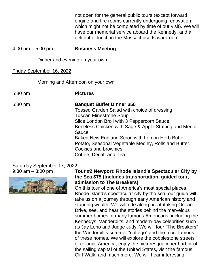not open for the general public tours (except forward engine and fire rooms currently undergoing renovation which might not be completed by time of our visit). We will have our memorial service aboard the Kennedy, and a deli buffet lunch in the Massachusetts wardroom.

4:00 pm – 5:00 pm **Business Meeting**

Dinner and evening on your own

#### Friday September 16, 2022

Morning and Afternoon on your own

| $5:30 \text{ pm}$ | <b>Pictures</b>                                                                                                                                                                                                                                                                                                                                                                                 |
|-------------------|-------------------------------------------------------------------------------------------------------------------------------------------------------------------------------------------------------------------------------------------------------------------------------------------------------------------------------------------------------------------------------------------------|
| $6:30 \text{ pm}$ | <b>Banquet Buffet Dinner \$50</b><br>Tossed Garden Salad with choice of dressing<br><b>Tuscan Minestrone Soup</b><br>Slice London Broil with 3 Peppercorn Sauce<br>Boneless Chicken with Sage & Apple Stuffing and Merlot<br>Sauce<br>Baked New England Scrod with Lemon Herb Butter<br>Potato, Seasonal Vegetable Medley, Rolls and Butter.<br>Cookies and brownies.<br>Coffee, Decaf, and Tea |

### Saturday September 17, 2022



#### 9:30 am – 3:00 pm **Tour #2 Newport: Rhode Island's Spectacular City by the Sea \$75 (Includes transportation, guided tour, admission to The Breakers)**

On this tour of one of America's most special places, Rhode Island's spectacular city by the sea, our guide will take us on a journey through early American history and stunning wealth. We will ride along breathtaking Ocean Drive, see, and hear the stories behind the marvelous summer homes of many famous Americans, including the Kennedys, Vanderbilts, and modern-day celebrities such as Jay Leno and Judge Judy. We will tour "The Breakers" the Vanderbilt's summer "cottage" and the most famous of these homes. We will explore the cobblestone streets of colonial America, enjoy the picturesque inner harbor of the sailing capital of the United States, visit the famous Cliff Walk, and much more. We will hear interesting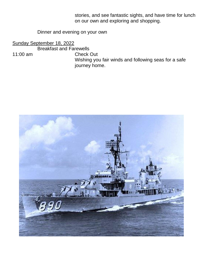stories, and see fantastic sights, and have time for lunch on our own and exploring and shopping.

#### Dinner and evening on your own

Sunday September 18, 2022

Breakfast and Farewells

11:00 am Check Out Wishing you fair winds and following seas for a safe journey home.